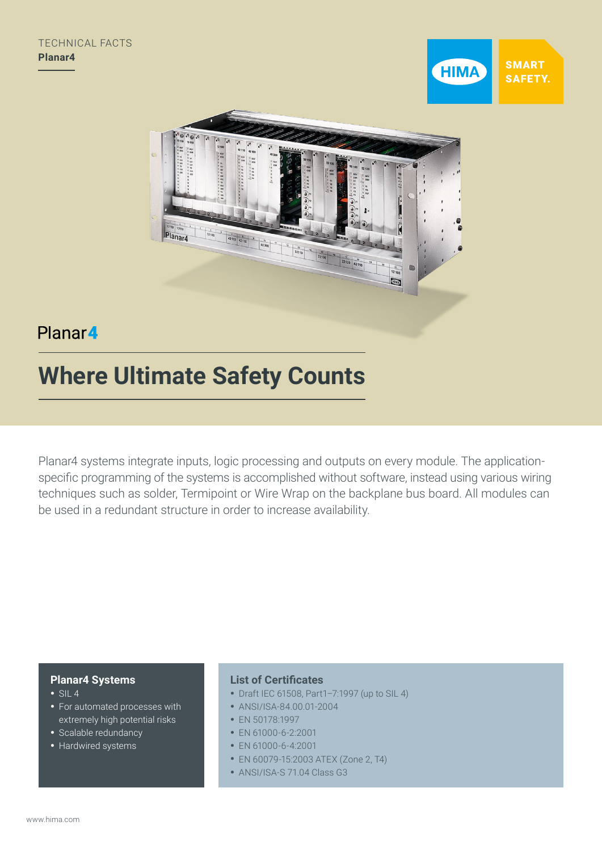



## Planar4

# **Where Ultimate Safety Counts**

Planar4 systems integrate inputs, logic processing and outputs on every module. The applicationspecific programming of the systems is accomplished without software, instead using various wiring techniques such as solder, Termipoint or Wire Wrap on the backplane bus board. All modules can be used in a redundant structure in order to increase availability.

## **Planar4 Systems**

- $\cdot$  SIL 4
- For automated processes with extremely high potential risks
- Scalable redundancy
- Hardwired systems

## **List of Certificates**

- Draft IEC 61508, Part1–7:1997 (up to SIL 4)
- ANSI/ISA-84.00.01-2004
- EN 50178:1997
- EN 61000-6-2:2001
- EN 61000-6-4:2001
- EN 60079-15:2003 ATEX (Zone 2, T4)
- ANSI/ISA-S 71.04 Class G3